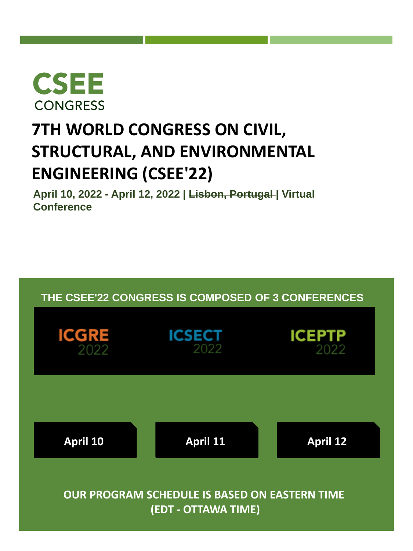<span id="page-0-0"></span>

# **7TH WORLD CONGRESS ON CIVIL, STRUCTURAL, AND ENVIRONMENTAL ENGINEERING (CSEE'22)**

**April 10, 2022 - April 12, 2022 | Lisbon, Portugal | Virtual Conference**

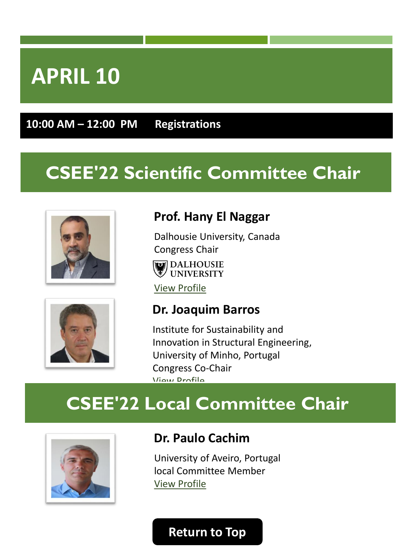<span id="page-1-0"></span>**10:00 AM – 12:00 PM Registrations**

# **CSEE'22 Scientific Committee Chair**





Dalhousie University, Canada [Congress Chair](https://www.dal.ca/) **DALHOUSIE** <sup>雾/</sup> UNIVERSITY

[View Profile](https://lisbon2021.cseecongress.com/chairs#Hany%20El%20Naggar) 



#### **Dr. Joaquim Barros**

Institute for Sustainability and Innovation in Structural Engineering, University of Minho, Portugal Congress Co-Chair [View Profile](https://isise.net/site/index.php?module=publicPeople&target=details&id=18) 

# **CSEE'22 Local Committee Chair**



#### **Dr. Paulo Cachim**

University of Aveiro, Portugal local Committee Member [View Profile](https://www.ua.pt/pt/risco/paulo_cachim)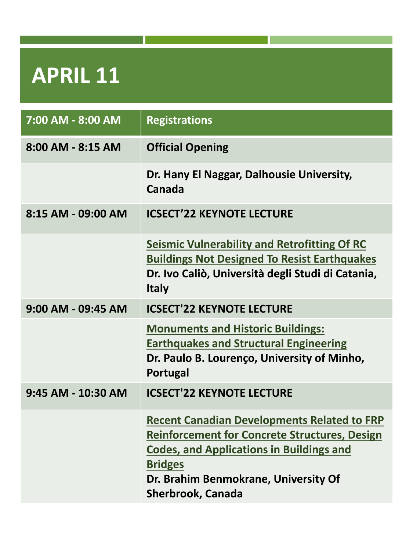<span id="page-2-0"></span>

| 7:00 AM - 8:00 AM  | <b>Registrations</b>                                                                                                                                                                                                                                |
|--------------------|-----------------------------------------------------------------------------------------------------------------------------------------------------------------------------------------------------------------------------------------------------|
| 8:00 AM - 8:15 AM  | <b>Official Opening</b>                                                                                                                                                                                                                             |
|                    | Dr. Hany El Naggar, Dalhousie University,<br>Canada                                                                                                                                                                                                 |
| 8:15 AM - 09:00 AM | <b>ICSECT'22 KEYNOTE LECTURE</b>                                                                                                                                                                                                                    |
|                    | <b>Seismic Vulnerability and Retrofitting Of RC</b><br><b>Buildings Not Designed To Resist Earthquakes</b><br>Dr. Ivo Caliò, Università degli Studi di Catania,<br><b>Italy</b>                                                                     |
| 9:00 AM - 09:45 AM | <b>ICSECT'22 KEYNOTE LECTURE</b>                                                                                                                                                                                                                    |
|                    | <b>Monuments and Historic Buildings:</b><br><b>Earthquakes and Structural Engineering</b><br>Dr. Paulo B. Lourenço, University of Minho,<br>Portugal                                                                                                |
| 9:45 AM - 10:30 AM | <b>ICSECT'22 KEYNOTE LECTURE</b>                                                                                                                                                                                                                    |
|                    | <b>Recent Canadian Developments Related to FRP</b><br><b>Reinforcement for Concrete Structures, Design</b><br><b>Codes, and Applications in Buildings and</b><br><b>Bridges</b><br>Dr. Brahim Benmokrane, University Of<br><b>Sherbrook, Canada</b> |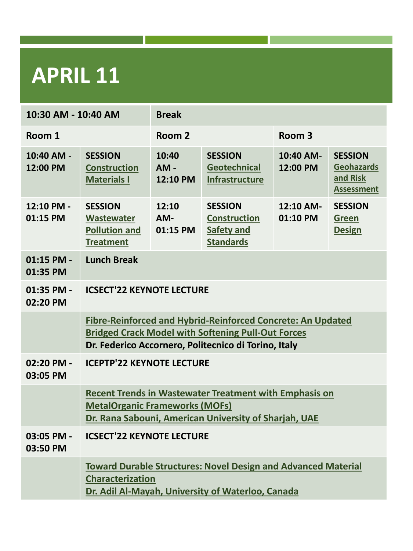| 10:30 AM - 10:40 AM      |                                                                                                                                                                                         | <b>Break</b>                |                                                                                |                       |                                                                      |
|--------------------------|-----------------------------------------------------------------------------------------------------------------------------------------------------------------------------------------|-----------------------------|--------------------------------------------------------------------------------|-----------------------|----------------------------------------------------------------------|
| Room 1                   |                                                                                                                                                                                         | Room <sub>2</sub>           |                                                                                | Room <sub>3</sub>     |                                                                      |
| 10:40 AM -<br>12:00 PM   | <b>SESSION</b><br><b>Construction</b><br><b>Materials I</b>                                                                                                                             | 10:40<br>$AM -$<br>12:10 PM | <b>SESSION</b><br><b>Geotechnical</b><br>Infrastructure                        | 10:40 AM-<br>12:00 PM | <b>SESSION</b><br><b>Geohazards</b><br>and Risk<br><b>Assessment</b> |
| 12:10 PM -<br>01:15 PM   | <b>SESSION</b><br>Wastewater<br><b>Pollution and</b><br><b>Treatment</b>                                                                                                                | 12:10<br>AM-<br>01:15 PM    | <b>SESSION</b><br><b>Construction</b><br><b>Safety and</b><br><b>Standards</b> | 12:10 AM-<br>01:10 PM | <b>SESSION</b><br><b>Green</b><br><b>Design</b>                      |
| $01:15$ PM -<br>01:35 PM | <b>Lunch Break</b>                                                                                                                                                                      |                             |                                                                                |                       |                                                                      |
| 01:35 PM -<br>02:20 PM   | <b>ICSECT'22 KEYNOTE LECTURE</b>                                                                                                                                                        |                             |                                                                                |                       |                                                                      |
|                          | <b>Fibre-Reinforced and Hybrid-Reinforced Concrete: An Updated</b><br><b>Bridged Crack Model with Softening Pull-Out Forces</b><br>Dr. Federico Accornero, Politecnico di Torino, Italy |                             |                                                                                |                       |                                                                      |
| 02:20 PM -<br>03:05 PM   | <b>ICEPTP'22 KEYNOTE LECTURE</b>                                                                                                                                                        |                             |                                                                                |                       |                                                                      |
|                          | <b>Recent Trends in Wastewater Treatment with Emphasis on</b><br><b>MetalOrganic Frameworks (MOFs)</b><br>Dr. Rana Sabouni, American University of Sharjah, UAE                         |                             |                                                                                |                       |                                                                      |
| 03:05 PM -<br>03:50 PM   | <b>ICSECT'22 KEYNOTE LECTURE</b>                                                                                                                                                        |                             |                                                                                |                       |                                                                      |
|                          | <b>Toward Durable Structures: Novel Design and Advanced Material</b><br><b>Characterization</b><br>Dr. Adil Al-Mayah, University of Waterloo, Canada                                    |                             |                                                                                |                       |                                                                      |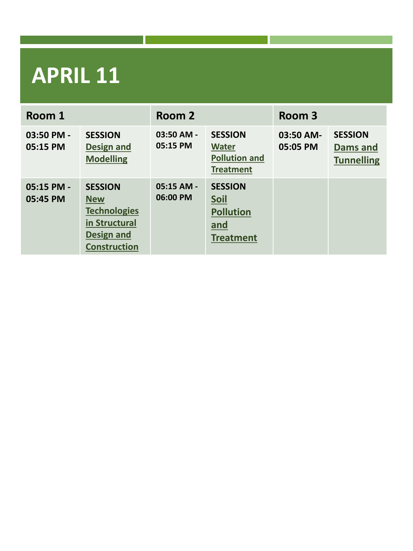| Room 1                 |                                                                                                                  | Room 2                   |                                                                            | Room 3                |                                                        |
|------------------------|------------------------------------------------------------------------------------------------------------------|--------------------------|----------------------------------------------------------------------------|-----------------------|--------------------------------------------------------|
| 03:50 PM -<br>05:15 PM | <b>SESSION</b><br><b>Design and</b><br><b>Modelling</b>                                                          | 03:50 AM -<br>05:15 PM   | <b>SESSION</b><br><b>Water</b><br><b>Pollution and</b><br><b>Treatment</b> | 03:50 AM-<br>05:05 PM | <b>SESSION</b><br><b>Dams and</b><br><b>Tunnelling</b> |
| 05:15 PM -<br>05:45 PM | <b>SESSION</b><br><b>New</b><br><b>Technologies</b><br>in Structural<br><b>Design and</b><br><b>Construction</b> | $05:15$ AM -<br>06:00 PM | <b>SESSION</b><br>Soil<br><b>Pollution</b><br>and<br><b>Treatment</b>      |                       |                                                        |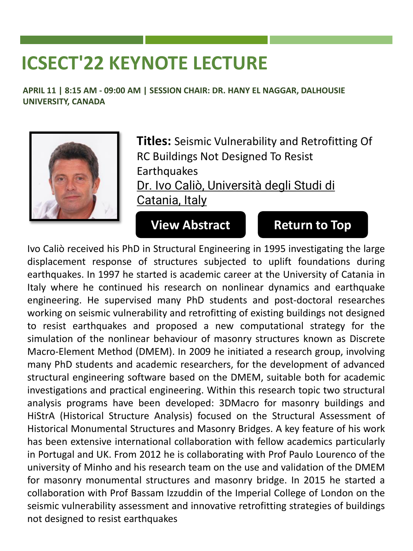<span id="page-5-0"></span>**APRIL 11 | 8:15 AM - 09:00 AM | SESSION CHAIR: DR. HANY EL NAGGAR, DALHOUSIE UNIVERSITY, CANADA**



**Titles:** Seismic Vulnerability and Retrofitting Of RC Buildings Not Designed To Resist **Earthquakes** Dr. Ivo Caliò, Università degli Studi di Catania, Italy

**[View Abstract](https://lisbon2022.cseecongress.com/paper/Keynote-Dr.Calio.pdf) [Return to Top](#page-0-0)**

Ivo Caliò received his PhD in Structural Engineering in 1995 investigating the large displacement response of structures subjected to uplift foundations during earthquakes. In 1997 he started is academic career at the University of Catania in Italy where he continued his research on nonlinear dynamics and earthquake engineering. He supervised many PhD students and post-doctoral researches working on seismic vulnerability and retrofitting of existing buildings not designed to resist earthquakes and proposed a new computational strategy for the simulation of the nonlinear behaviour of masonry structures known as Discrete Macro-Element Method (DMEM). In 2009 he initiated a research group, involving many PhD students and academic researchers, for the development of advanced structural engineering software based on the DMEM, suitable both for academic investigations and practical engineering. Within this research topic two structural analysis programs have been developed: 3DMacro for masonry buildings and HiStrA (Historical Structure Analysis) focused on the Structural Assessment of Historical Monumental Structures and Masonry Bridges. A key feature of his work has been extensive international collaboration with fellow academics particularly in Portugal and UK. From 2012 he is collaborating with Prof Paulo Lourenco of the university of Minho and his research team on the use and validation of the DMEM for masonry monumental structures and masonry bridge. In 2015 he started a collaboration with Prof Bassam Izzuddin of the Imperial College of London on the seismic vulnerability assessment and innovative retrofitting strategies of buildings not designed to resist earthquakes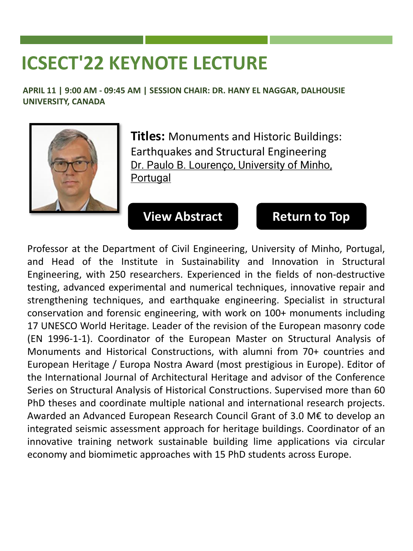<span id="page-6-0"></span>**APRIL 11 | 9:00 AM - 09:45 AM | SESSION CHAIR: DR. HANY EL NAGGAR, DALHOUSIE UNIVERSITY, CANADA**



**Titles:** Monuments and Historic Buildings: Earthquakes and Structural Engineering Dr. Paulo B. Lourenço, University of Minho, Portugal

#### **[View Abstract](https://lisbon2022.cseecongress.com/paper/Keynote-Dr.Lourenco.pdf) [Return to Top](#page-0-0)**

Professor at the Department of Civil Engineering, University of Minho, Portugal, and Head of the Institute in Sustainability and Innovation in Structural Engineering, with 250 researchers. Experienced in the fields of non-destructive testing, advanced experimental and numerical techniques, innovative repair and strengthening techniques, and earthquake engineering. Specialist in structural conservation and forensic engineering, with work on 100+ monuments including 17 UNESCO World Heritage. Leader of the revision of the European masonry code (EN 1996-1-1). Coordinator of the European Master on Structural Analysis of Monuments and Historical Constructions, with alumni from 70+ countries and European Heritage / Europa Nostra Award (most prestigious in Europe). Editor of the International Journal of Architectural Heritage and advisor of the Conference Series on Structural Analysis of Historical Constructions. Supervised more than 60 PhD theses and coordinate multiple national and international research projects. Awarded an Advanced European Research Council Grant of 3.0 M€ to develop an integrated seismic assessment approach for heritage buildings. Coordinator of an innovative training network sustainable building lime applications via circular economy and biomimetic approaches with 15 PhD students across Europe.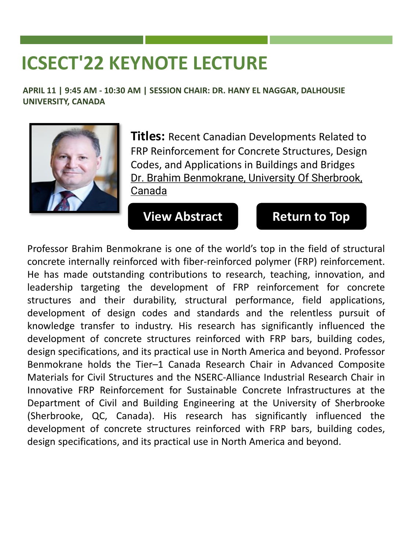<span id="page-7-0"></span>**APRIL 11 | 9:45 AM - 10:30 AM | SESSION CHAIR: DR. HANY EL NAGGAR, DALHOUSIE UNIVERSITY, CANADA**



**Titles:** Recent Canadian Developments Related to FRP Reinforcement for Concrete Structures, Design Codes, and Applications in Buildings and Bridges Dr. Brahim Benmokrane, University Of Sherbrook, Canada

#### **[View Abstract](https://lisbon2022.cseecongress.com/paper/Keynote-Dr.Benmokrane.pdf) [Return to Top](#page-0-0)**

Professor Brahim Benmokrane is one of the world's top in the field of structural concrete internally reinforced with fiber-reinforced polymer (FRP) reinforcement. He has made outstanding contributions to research, teaching, innovation, and leadership targeting the development of FRP reinforcement for concrete structures and their durability, structural performance, field applications, development of design codes and standards and the relentless pursuit of knowledge transfer to industry. His research has significantly influenced the development of concrete structures reinforced with FRP bars, building codes, design specifications, and its practical use in North America and beyond. Professor Benmokrane holds the Tier–1 Canada Research Chair in Advanced Composite Materials for Civil Structures and the NSERC-Alliance Industrial Research Chair in Innovative FRP Reinforcement for Sustainable Concrete Infrastructures at the Department of Civil and Building Engineering at the University of Sherbrooke (Sherbrooke, QC, Canada). His research has significantly influenced the development of concrete structures reinforced with FRP bars, building codes, design specifications, and its practical use in North America and beyond.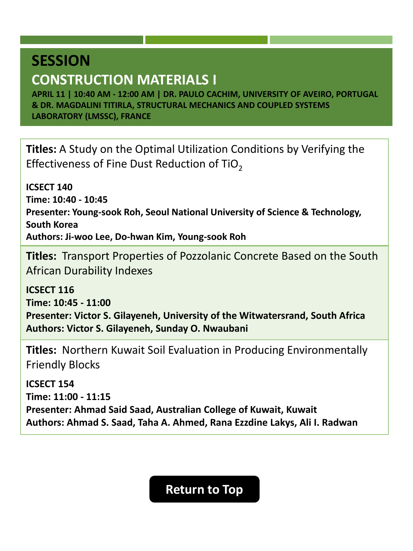### <span id="page-8-0"></span>**CONSTRUCTION MATERIALS I**

**APRIL 11 | 10:40 AM - 12:00 AM | DR. PAULO CACHIM, UNIVERSITY OF AVEIRO, PORTUGAL & DR. MAGDALINI TITIRLA, STRUCTURAL MECHANICS AND COUPLED SYSTEMS LABORATORY (LMSSC), FRANCE**

**Titles:** A Study on the Optimal Utilization Conditions by Verifying the Effectiveness of Fine Dust Reduction of TiO<sub>2</sub>

**ICSECT 140 Time: 10:40 - 10:45 Presenter: Young-sook Roh, Seoul National University of Science & Technology, South Korea Authors: Ji-woo Lee, Do-hwan Kim, Young-sook Roh**

**Titles:** Transport Properties of Pozzolanic Concrete Based on the South African Durability Indexes

**ICSECT 116 Time: 10:45 - 11:00 Presenter: Victor S. Gilayeneh, University of the Witwatersrand, South Africa Authors: Victor S. Gilayeneh, Sunday O. Nwaubani**

**Titles:** Northern Kuwait Soil Evaluation in Producing Environmentally Friendly Blocks

**ICSECT 154 Time: 11:00 - 11:15 Presenter: Ahmad Said Saad, Australian College of Kuwait, Kuwait Authors: Ahmad S. Saad, Taha A. Ahmed, Rana Ezzdine Lakys, Ali I. Radwan**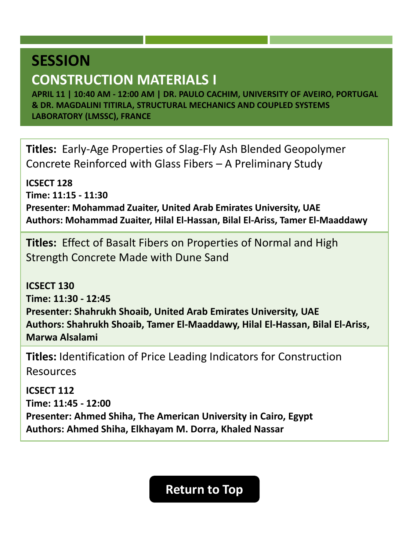### **CONSTRUCTION MATERIALS I**

**APRIL 11 | 10:40 AM - 12:00 AM | DR. PAULO CACHIM, UNIVERSITY OF AVEIRO, PORTUGAL & DR. MAGDALINI TITIRLA, STRUCTURAL MECHANICS AND COUPLED SYSTEMS LABORATORY (LMSSC), FRANCE**

**Titles:** Early-Age Properties of Slag-Fly Ash Blended Geopolymer Concrete Reinforced with Glass Fibers – A Preliminary Study

**ICSECT 128 Time: 11:15 - 11:30 Presenter: Mohammad Zuaiter, United Arab Emirates University, UAE Authors: Mohammad Zuaiter, Hilal El-Hassan, Bilal El-Ariss, Tamer El-Maaddawy**

**Titles:** Effect of Basalt Fibers on Properties of Normal and High Strength Concrete Made with Dune Sand

**ICSECT 130 Time: 11:30 - 12:45 Presenter: Shahrukh Shoaib, United Arab Emirates University, UAE Authors: Shahrukh Shoaib, Tamer El-Maaddawy, Hilal El-Hassan, Bilal El-Ariss, Marwa Alsalami**

**Titles:** Identification of Price Leading Indicators for Construction Resources

**ICSECT 112 Time: 11:45 - 12:00 Presenter: Ahmed Shiha, The American University in Cairo, Egypt Authors: Ahmed Shiha, Elkhayam M. Dorra, Khaled Nassar**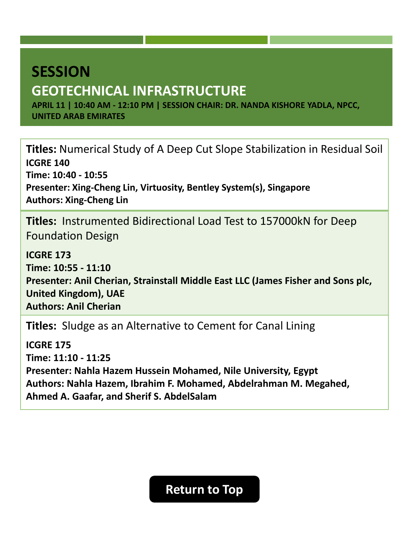# <span id="page-10-0"></span>**SESSION GEOTECHNICAL INFRASTRUCTURE**

**APRIL 11 | 10:40 AM - 12:10 PM | SESSION CHAIR: DR. NANDA KISHORE YADLA, NPCC, UNITED ARAB EMIRATES**

**Titles:** Numerical Study of A Deep Cut Slope Stabilization in Residual Soil **ICGRE 140 Time: 10:40 - 10:55 Presenter: Xing-Cheng Lin, Virtuosity, Bentley System(s), Singapore Authors: Xing-Cheng Lin**

**Titles:** Instrumented Bidirectional Load Test to 157000kN for Deep Foundation Design

**ICGRE 173 Time: 10:55 - 11:10 Presenter: Anil Cherian, Strainstall Middle East LLC (James Fisher and Sons plc, United Kingdom), UAE Authors: Anil Cherian**

**Titles:** Sludge as an Alternative to Cement for Canal Lining

**ICGRE 175 Time: 11:10 - 11:25 Presenter: Nahla Hazem Hussein Mohamed, Nile University, Egypt Authors: Nahla Hazem, Ibrahim F. Mohamed, Abdelrahman M. Megahed, Ahmed A. Gaafar, and Sherif S. AbdelSalam**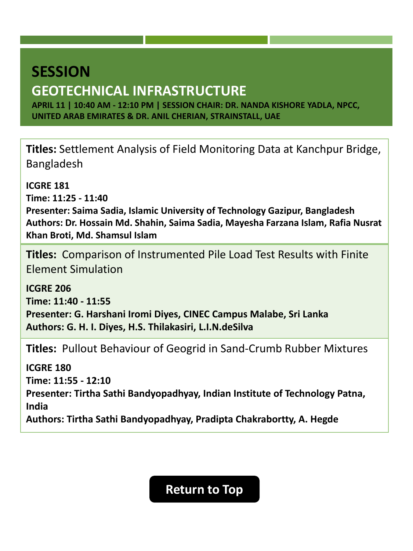# **SESSION GEOTECHNICAL INFRASTRUCTURE**

**APRIL 11 | 10:40 AM - 12:10 PM | SESSION CHAIR: DR. NANDA KISHORE YADLA, NPCC, UNITED ARAB EMIRATES & DR. ANIL CHERIAN, STRAINSTALL, UAE**

**Titles:** Settlement Analysis of Field Monitoring Data at Kanchpur Bridge, Bangladesh

**ICGRE 181**

**Time: 11:25 - 11:40**

**Presenter: Saima Sadia, Islamic University of Technology Gazipur, Bangladesh Authors: Dr. Hossain Md. Shahin, Saima Sadia, Mayesha Farzana Islam, Rafia Nusrat Khan Broti, Md. Shamsul Islam**

**Titles:** Comparison of Instrumented Pile Load Test Results with Finite Element Simulation

**ICGRE 206 Time: 11:40 - 11:55 Presenter: G. Harshani Iromi Diyes, CINEC Campus Malabe, Sri Lanka Authors: G. H. I. Diyes, H.S. Thilakasiri, L.I.N.deSilva**

**Titles:** Pullout Behaviour of Geogrid in Sand-Crumb Rubber Mixtures

**ICGRE 180 Time: 11:55 - 12:10 Presenter: Tirtha Sathi Bandyopadhyay, Indian Institute of Technology Patna, India Authors: Tirtha Sathi Bandyopadhyay, Pradipta Chakrabortty, A. Hegde**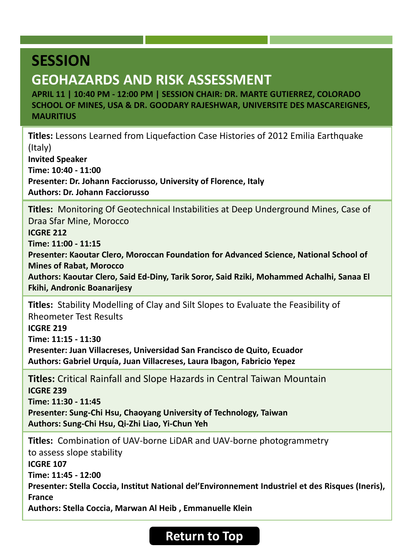### <span id="page-12-0"></span>**GEOHAZARDS AND RISK ASSESSMENT**

**APRIL 11 | 10:40 PM - 12:00 PM | SESSION CHAIR: DR. MARTE GUTIERREZ, COLORADO SCHOOL OF MINES, USA & DR. GOODARY RAJESHWAR, UNIVERSITE DES MASCAREIGNES, MAURITIUS**

**Titles:** Lessons Learned from Liquefaction Case Histories of 2012 Emilia Earthquake (Italy) **Invited Speaker Time: 10:40 - 11:00 Presenter: Dr. Johann Facciorusso, University of Florence, Italy**

**Authors: Dr. Johann Facciorusso**

**Titles:** Monitoring Of Geotechnical Instabilities at Deep Underground Mines, Case of Draa Sfar Mine, Morocco

**ICGRE 212**

**Time: 11:00 - 11:15**

**Presenter: Kaoutar Clero, Moroccan Foundation for Advanced Science, National School of Mines of Rabat, Morocco**

**Authors: Kaoutar Clero, Said Ed-Diny, Tarik Soror, Said Rziki, Mohammed Achalhi, Sanaa El Fkihi, Andronic Boanarijesy**

**Titles:** Stability Modelling of Clay and Silt Slopes to Evaluate the Feasibility of Rheometer Test Results **ICGRE 219 Time: 11:15 - 11:30 Presenter: Juan Villacreses, Universidad San Francisco de Quito, Ecuador Authors: Gabriel Urquía, Juan Villacreses, Laura Ibagon, Fabricio Yepez**

**Titles:** Critical Rainfall and Slope Hazards in Central Taiwan Mountain **ICGRE 239 Time: 11:30 - 11:45 Presenter: Sung-Chi Hsu, Chaoyang University of Technology, Taiwan Authors: Sung-Chi Hsu, Qi-Zhi Liao, Yi-Chun Yeh**

**Titles:** Combination of UAV-borne LiDAR and UAV-borne photogrammetry to assess slope stability **ICGRE 107 Time: 11:45 - 12:00 Presenter: Stella Coccia, Institut National del'Environnement Industriel et des Risques (Ineris), France Authors: Stella Coccia, Marwan Al Heib , Emmanuelle Klein**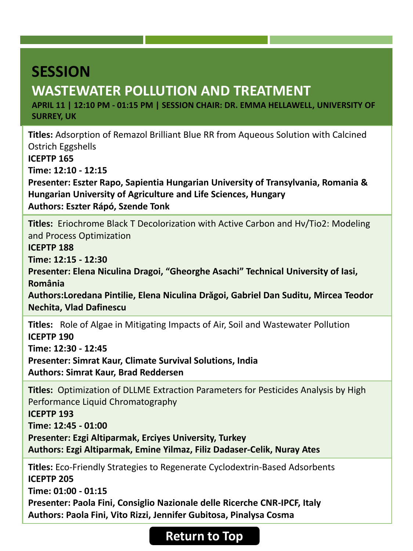# <span id="page-13-0"></span>**WASTEWATER POLLUTION AND TREATMENT**

**APRIL 11 | 12:10 PM - 01:15 PM | SESSION CHAIR: DR. EMMA HELLAWELL, UNIVERSITY OF SURREY, UK**

**Titles:** Adsorption of Remazol Brilliant Blue RR from Aqueous Solution with Calcined Ostrich Eggshells **ICEPTP 165 Time: 12:10 - 12:15 Presenter: Eszter Rapo, Sapientia Hungarian University of Transylvania, Romania & Hungarian University of Agriculture and Life Sciences, Hungary Authors: Eszter Rápó, Szende Tonk**

**Titles:** Eriochrome Black T Decolorization with Active Carbon and Hν/Tio2: Modeling and Process Optimization

**ICEPTP 188**

**Time: 12:15 - 12:30**

**Presenter: Elena Niculina Dragoi, "Gheorghe Asachi" Technical University of Iasi, România**

**Authors:Loredana Pintilie, Elena Niculina Drăgoi, Gabriel Dan Suditu, Mircea Teodor Nechita, Vlad Dafinescu**

**Titles:** Role of Algae in Mitigating Impacts of Air, Soil and Wastewater Pollution **ICEPTP 190**

**Time: 12:30 - 12:45**

**Presenter: Simrat Kaur, Climate Survival Solutions, India**

**Authors: Simrat Kaur, Brad Reddersen**

**Titles:** Optimization of DLLME Extraction Parameters for Pesticides Analysis by High Performance Liquid Chromatography

**ICEPTP 193**

**Time: 12:45 - 01:00**

**Presenter: Ezgi Altiparmak, Erciyes University, Turkey**

**Authors: Ezgi Altiparmak, Emine Yilmaz, Filiz Dadaser-Celik, Nuray Ates**

**Titles:** Eco-Friendly Strategies to Regenerate Cyclodextrin-Based Adsorbents **ICEPTP 205 Time: 01:00 - 01:15 Presenter: Paola Fini, Consiglio Nazionale delle Ricerche CNR-IPCF, Italy**

**Authors: Paola Fini, Vito Rizzi, Jennifer Gubitosa, Pinalysa Cosma**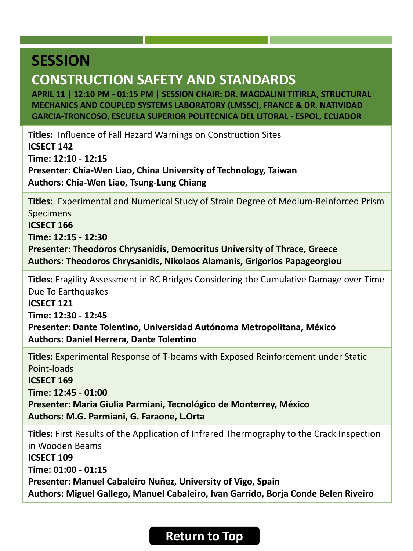## **CONSTRUCTION SAFETY AND STANDARDS**

**APRIL 11 | 12:10 PM - 01:15 PM | SESSION CHAIR: DR. MAGDALINI TITIRLA, STRUCTURAL MECHANICS AND COUPLED SYSTEMS LABORATORY (LMSSC), FRANCE & DR. NATIVIDAD GARCIA-TRONCOSO, ESCUELA SUPERIOR POLITECNICA DEL LITORAL - ESPOL, ECUADOR**

**Titles:** Influence of Fall Hazard Warnings on Construction Sites **ICSECT 142 Time: 12:10 - 12:15 Presenter: Chia-Wen Liao, China University of Technology, Taiwan Authors: Chia-Wen Liao, Tsung-Lung Chiang**

**Titles:** Experimental and Numerical Study of Strain Degree of Medium-Reinforced Prism Specimens

**ICSECT 166**

**Time: 12:15 - 12:30**

**Presenter: Theodoros Chrysanidis, Democritus University of Thrace, Greece Authors: Theodoros Chrysanidis, Nikolaos Alamanis, Grigorios Papageorgiou**

**Titles:** Fragility Assessment in RC Bridges Considering the Cumulative Damage over Time Due To Earthquakes

**ICSECT 121**

**Time: 12:30 - 12:45**

**Presenter: Dante Tolentino, Universidad Autónoma Metropolitana, México Authors: Daniel Herrera, Dante Tolentino**

**Titles:** Experimental Response of T-beams with Exposed Reinforcement under Static Point-loads **ICSECT 169 Time: 12:45 - 01:00**

**Presenter: Maria Giulia Parmiani, Tecnológico de Monterrey, México Authors: M.G. Parmiani, G. Faraone, L.Orta**

**Titles:** First Results of the Application of Infrared Thermography to the Crack Inspection in Wooden Beams **ICSECT 109 Time: 01:00 - 01:15 Presenter: Manuel Cabaleiro Nuñez, University of Vigo, Spain Authors: Miguel Gallego, Manuel Cabaleiro, Ivan Garrido, Borja Conde Belen Riveiro**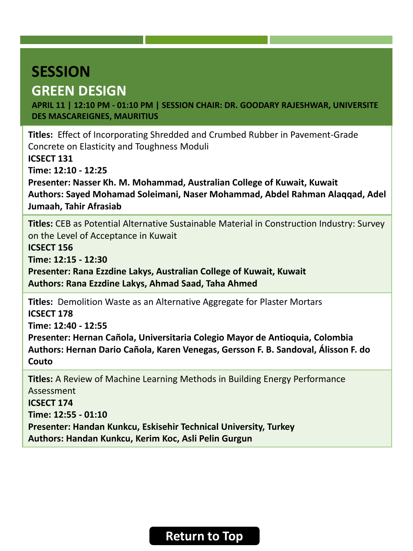# <span id="page-15-0"></span>**SESSION GREEN DESIGN**

**APRIL 11 | 12:10 PM - 01:10 PM | SESSION CHAIR: DR. GOODARY RAJESHWAR, UNIVERSITE DES MASCAREIGNES, MAURITIUS**

**Titles:** Effect of Incorporating Shredded and Crumbed Rubber in Pavement-Grade Concrete on Elasticity and Toughness Moduli

**ICSECT 131**

**Time: 12:10 - 12:25**

**Presenter: Nasser Kh. M. Mohammad, Australian College of Kuwait, Kuwait Authors: Sayed Mohamad Soleimani, Naser Mohammad, Abdel Rahman Alaqqad, Adel Jumaah, Tahir Afrasiab**

**Titles:** CEB as Potential Alternative Sustainable Material in Construction Industry: Survey on the Level of Acceptance in Kuwait

**ICSECT 156**

**Time: 12:15 - 12:30**

**Presenter: Rana Ezzdine Lakys, Australian College of Kuwait, Kuwait Authors: Rana Ezzdine Lakys, Ahmad Saad, Taha Ahmed**

**Titles:** Demolition Waste as an Alternative Aggregate for Plaster Mortars **ICSECT 178**

**Time: 12:40 - 12:55**

**Presenter: Hernan Cañola, Universitaria Colegio Mayor de Antioquia, Colombia Authors: Hernan Dario Cañola, Karen Venegas, Gersson F. B. Sandoval, Álisson F. do Couto**

**Titles:** A Review of Machine Learning Methods in Building Energy Performance Assessment **ICSECT 174 Time: 12:55 - 01:10 Presenter: Handan Kunkcu, Eskisehir Technical University, Turkey Authors: Handan Kunkcu, Kerim Koc, Asli Pelin Gurgun**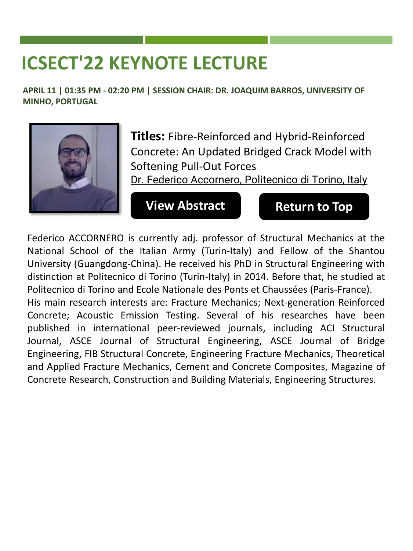<span id="page-16-0"></span>**APRIL 11 | 01:35 PM - 02:20 PM | SESSION CHAIR: DR. JOAQUIM BARROS, UNIVERSITY OF MINHO, PORTUGAL**



**Titles:** Fibre-Reinforced and Hybrid-Reinforced Concrete: An Updated Bridged Crack Model with Softening Pull-Out Forces

Dr. Federico Accornero, Politecnico di Torino, Italy

#### **[View Abstract](https://lisbon2022.cseecongress.com/paper/Keynote-Dr.Accornero.pdf) [Return to Top](#page-0-0)**

Federico ACCORNERO is currently adj. professor of Structural Mechanics at the National School of the Italian Army (Turin-Italy) and Fellow of the Shantou University (Guangdong-China). He received his PhD in Structural Engineering with distinction at Politecnico di Torino (Turin-Italy) in 2014. Before that, he studied at Politecnico di Torino and Ecole Nationale des Ponts et Chaussées (Paris-France). His main research interests are: Fracture Mechanics; Next-generation Reinforced Concrete; Acoustic Emission Testing. Several of his researches have been published in international peer-reviewed journals, including ACI Structural

Journal, ASCE Journal of Structural Engineering, ASCE Journal of Bridge Engineering, FIB Structural Concrete, Engineering Fracture Mechanics, Theoretical and Applied Fracture Mechanics, Cement and Concrete Composites, Magazine of Concrete Research, Construction and Building Materials, Engineering Structures.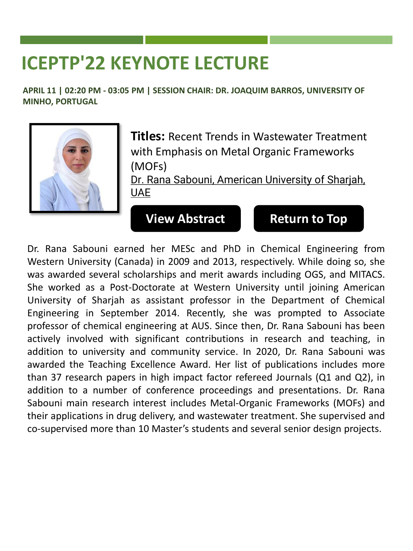<span id="page-17-0"></span>**APRIL 11 | 02:20 PM - 03:05 PM | SESSION CHAIR: DR. JOAQUIM BARROS, UNIVERSITY OF MINHO, PORTUGAL**



**Titles:** Recent Trends in Wastewater Treatment with Emphasis on Metal Organic Frameworks (MOFs)

Dr. Rana Sabouni, American University of Sharjah, UAE

#### **[View Abstract](https://lisbon2022.cseecongress.com/paper/Keynote-Dr.Sabouni.pdf) [Return to Top](#page-0-0)**

Dr. Rana Sabouni earned her MESc and PhD in Chemical Engineering from Western University (Canada) in 2009 and 2013, respectively. While doing so, she was awarded several scholarships and merit awards including OGS, and MITACS. She worked as a Post-Doctorate at Western University until joining American University of Sharjah as assistant professor in the Department of Chemical Engineering in September 2014. Recently, she was prompted to Associate professor of chemical engineering at AUS. Since then, Dr. Rana Sabouni has been actively involved with significant contributions in research and teaching, in addition to university and community service. In 2020, Dr. Rana Sabouni was awarded the Teaching Excellence Award. Her list of publications includes more than 37 research papers in high impact factor refereed Journals (Q1 and Q2), in addition to a number of conference proceedings and presentations. Dr. Rana Sabouni main research interest includes Metal-Organic Frameworks (MOFs) and their applications in drug delivery, and wastewater treatment. She supervised and co-supervised more than 10 Master's students and several senior design projects.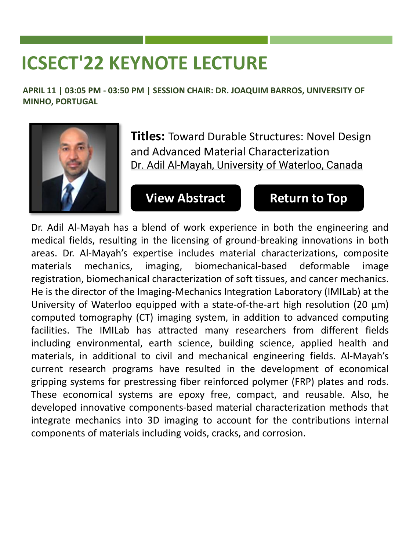<span id="page-18-0"></span>**APRIL 11 | 03:05 PM - 03:50 PM | SESSION CHAIR: DR. JOAQUIM BARROS, UNIVERSITY OF MINHO, PORTUGAL**



**Titles:** Toward Durable Structures: Novel Design and Advanced Material Characterization Dr. Adil Al-Mayah, University of Waterloo, Canada

### **[View Abstract](https://lisbon2022.cseecongress.com/paper/Keynote-Dr.Almayah.pdf) [Return to Top](#page-0-0)**

Dr. Adil Al-Mayah has a blend of work experience in both the engineering and medical fields, resulting in the licensing of ground-breaking innovations in both areas. Dr. Al-Mayah's expertise includes material characterizations, composite materials mechanics, imaging, biomechanical-based deformable image registration, biomechanical characterization of soft tissues, and cancer mechanics. He is the director of the Imaging-Mechanics Integration Laboratory (IMILab) at the University of Waterloo equipped with a state-of-the-art high resolution (20 μm) computed tomography (CT) imaging system, in addition to advanced computing facilities. The IMILab has attracted many researchers from different fields including environmental, earth science, building science, applied health and materials, in additional to civil and mechanical engineering fields. Al-Mayah's current research programs have resulted in the development of economical gripping systems for prestressing fiber reinforced polymer (FRP) plates and rods. These economical systems are epoxy free, compact, and reusable. Also, he developed innovative components-based material characterization methods that integrate mechanics into 3D imaging to account for the contributions internal components of materials including voids, cracks, and corrosion.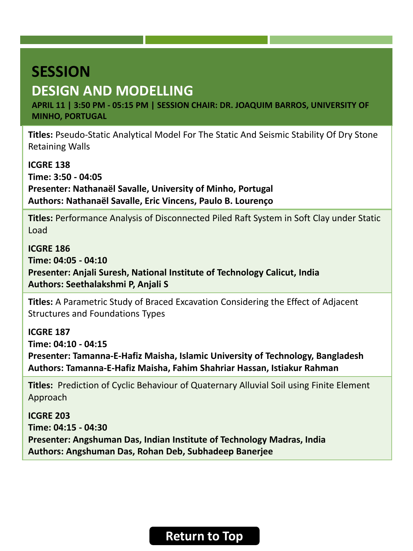## <span id="page-19-0"></span>**DESIGN AND MODELLING**

**APRIL 11 | 3:50 PM - 05:15 PM | SESSION CHAIR: DR. JOAQUIM BARROS, UNIVERSITY OF MINHO, PORTUGAL**

**Titles:** Pseudo-Static Analytical Model For The Static And Seismic Stability Of Dry Stone Retaining Walls

**ICGRE 138 Time: 3:50 - 04:05 Presenter: Nathanaël Savalle, University of Minho, Portugal Authors: Nathanaël Savalle, Eric Vincens, Paulo B. Lourenço**

**Titles:** Performance Analysis of Disconnected Piled Raft System in Soft Clay under Static Load

**ICGRE 186 Time: 04:05 - 04:10 Presenter: Anjali Suresh, National Institute of Technology Calicut, India Authors: Seethalakshmi P, Anjali S**

**Titles:** A Parametric Study of Braced Excavation Considering the Effect of Adjacent Structures and Foundations Types

**ICGRE 187**

**Time: 04:10 - 04:15**

**Presenter: Tamanna-E-Hafiz Maisha, Islamic University of Technology, Bangladesh Authors: Tamanna-E-Hafiz Maisha, Fahim Shahriar Hassan, Istiakur Rahman**

**Titles:** Prediction of Cyclic Behaviour of Quaternary Alluvial Soil using Finite Element Approach

**ICGRE 203 Time: 04:15 - 04:30 Presenter: Angshuman Das, Indian Institute of Technology Madras, India Authors: Angshuman Das, Rohan Deb, Subhadeep Banerjee**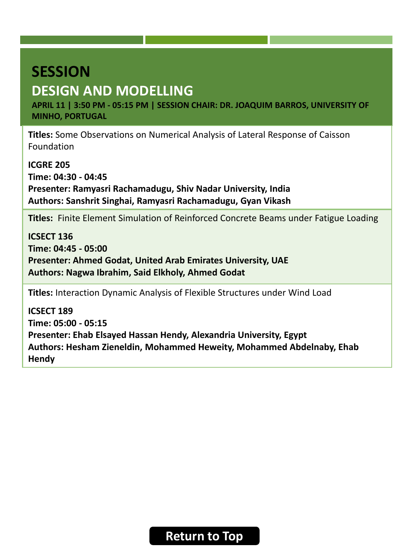## **DESIGN AND MODELLING**

**APRIL 11 | 3:50 PM - 05:15 PM | SESSION CHAIR: DR. JOAQUIM BARROS, UNIVERSITY OF MINHO, PORTUGAL**

**Titles:** Some Observations on Numerical Analysis of Lateral Response of Caisson Foundation

**ICGRE 205 Time: 04:30 - 04:45 Presenter: Ramyasri Rachamadugu, Shiv Nadar University, India Authors: Sanshrit Singhai, Ramyasri Rachamadugu, Gyan Vikash**

**Titles:** Finite Element Simulation of Reinforced Concrete Beams under Fatigue Loading

**ICSECT 136 Time: 04:45 - 05:00 Presenter: Ahmed Godat, United Arab Emirates University, UAE Authors: Nagwa Ibrahim, Said Elkholy, Ahmed Godat**

**Titles:** Interaction Dynamic Analysis of Flexible Structures under Wind Load

**ICSECT 189 Time: 05:00 - 05:15 Presenter: Ehab Elsayed Hassan Hendy, Alexandria University, Egypt Authors: Hesham Zieneldin, Mohammed Heweity, Mohammed Abdelnaby, Ehab Hendy**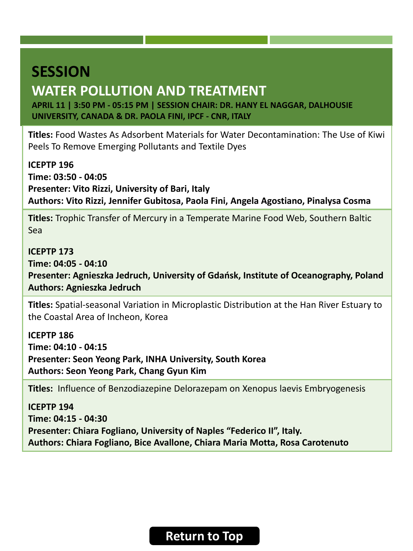### <span id="page-21-0"></span>**WATER POLLUTION AND TREATMENT**

**APRIL 11 | 3:50 PM - 05:15 PM | SESSION CHAIR: DR. HANY EL NAGGAR, DALHOUSIE UNIVERSITY, CANADA & DR. PAOLA FINI, IPCF - CNR, ITALY**

**Titles:** Food Wastes As Adsorbent Materials for Water Decontamination: The Use of Kiwi Peels To Remove Emerging Pollutants and Textile Dyes

**ICEPTP 196 Time: 03:50 - 04:05 Presenter: Vito Rizzi, University of Bari, Italy Authors: Vito Rizzi, Jennifer Gubitosa, Paola Fini, Angela Agostiano, Pinalysa Cosma**

**Titles:** Trophic Transfer of Mercury in a Temperate Marine Food Web, Southern Baltic Sea

#### **ICEPTP 173**

**Time: 04:05 - 04:10 Presenter: Agnieszka Jedruch, University of Gdańsk, Institute of Oceanography, Poland Authors: Agnieszka Jedruch**

**Titles:** Spatial-seasonal Variation in Microplastic Distribution at the Han River Estuary to the Coastal Area of Incheon, Korea

**ICEPTP 186 Time: 04:10 - 04:15 Presenter: Seon Yeong Park, INHA University, South Korea Authors: Seon Yeong Park, Chang Gyun Kim**

**Titles:** Influence of Benzodiazepine Delorazepam on Xenopus laevis Embryogenesis

**ICEPTP 194 Time: 04:15 - 04:30 Presenter: Chiara Fogliano, University of Naples "Federico II", Italy. Authors: Chiara Fogliano, Bice Avallone, Chiara Maria Motta, Rosa Carotenuto**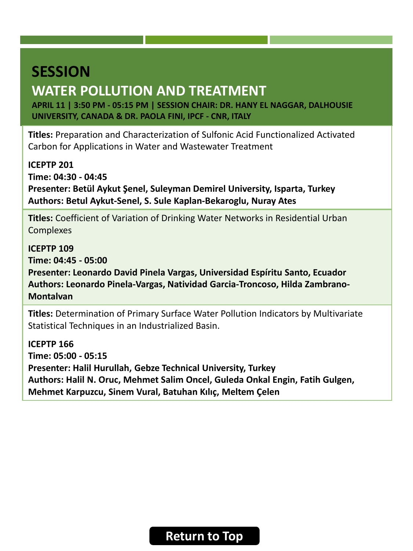### **WATER POLLUTION AND TREATMENT**

**APRIL 11 | 3:50 PM - 05:15 PM | SESSION CHAIR: DR. HANY EL NAGGAR, DALHOUSIE UNIVERSITY, CANADA & DR. PAOLA FINI, IPCF - CNR, ITALY**

**Titles:** Preparation and Characterization of Sulfonic Acid Functionalized Activated Carbon for Applications in Water and Wastewater Treatment

**ICEPTP 201 Time: 04:30 - 04:45**

**Presenter: Betül Aykut Şenel, Suleyman Demirel University, Isparta, Turkey Authors: Betul Aykut-Senel, S. Sule Kaplan-Bekaroglu, Nuray Ates**

**Titles:** Coefficient of Variation of Drinking Water Networks in Residential Urban Complexes

**ICEPTP 109 Time: 04:45 - 05:00 Presenter: Leonardo David Pinela Vargas, Universidad Espíritu Santo, Ecuador Authors: Leonardo Pinela-Vargas, Natividad Garcia-Troncoso, Hilda Zambrano-Montalvan**

**Titles:** Determination of Primary Surface Water Pollution Indicators by Multivariate Statistical Techniques in an Industrialized Basin.

**ICEPTP 166 Time: 05:00 - 05:15 Presenter: Halil Hurullah, Gebze Technical University, Turkey Authors: Halil N. Oruc, Mehmet Salim Oncel, Guleda Onkal Engin, Fatih Gulgen, Mehmet Karpuzcu, Sinem Vural, Batuhan Kılıç, Meltem Çelen**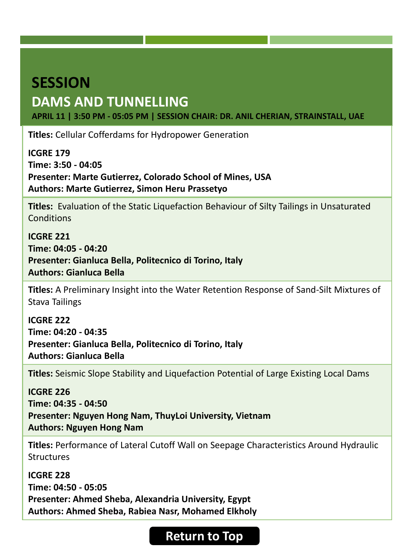### <span id="page-23-0"></span>**SESSION DAMS AND TUNNELLING**

**APRIL 11 | 3:50 PM - 05:05 PM | SESSION CHAIR: DR. ANIL CHERIAN, STRAINSTALL, UAE**

**Titles:** Cellular Cofferdams for Hydropower Generation

**ICGRE 179 Time: 3:50 - 04:05 Presenter: Marte Gutierrez, Colorado School of Mines, USA Authors: Marte Gutierrez, Simon Heru Prassetyo**

**Titles:** Evaluation of the Static Liquefaction Behaviour of Silty Tailings in Unsaturated Conditions

**ICGRE 221 Time: 04:05 - 04:20 Presenter: Gianluca Bella, Politecnico di Torino, Italy Authors: Gianluca Bella**

**Titles:** A Preliminary Insight into the Water Retention Response of Sand-Silt Mixtures of Stava Tailings

**ICGRE 222 Time: 04:20 - 04:35 Presenter: Gianluca Bella, Politecnico di Torino, Italy Authors: Gianluca Bella**

**Titles:** Seismic Slope Stability and Liquefaction Potential of Large Existing Local Dams

**ICGRE 226 Time: 04:35 - 04:50 Presenter: Nguyen Hong Nam, ThuyLoi University, Vietnam Authors: Nguyen Hong Nam**

**Titles:** Performance of Lateral Cutoff Wall on Seepage Characteristics Around Hydraulic **Structures** 

**ICGRE 228 Time: 04:50 - 05:05 Presenter: Ahmed Sheba, Alexandria University, Egypt Authors: Ahmed Sheba, Rabiea Nasr, Mohamed Elkholy**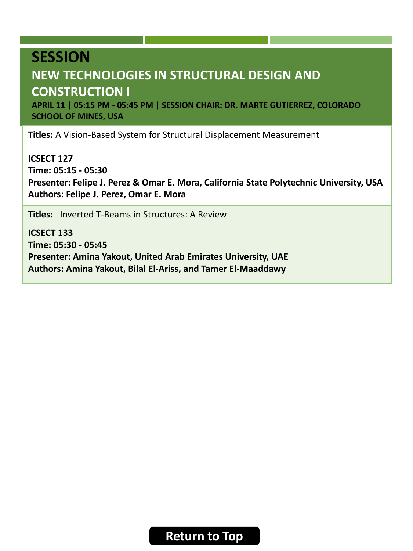# <span id="page-24-0"></span>**SESSION NEW TECHNOLOGIES IN STRUCTURAL DESIGN AND CONSTRUCTION I**

**APRIL 11 | 05:15 PM - 05:45 PM | SESSION CHAIR: DR. MARTE GUTIERREZ, COLORADO SCHOOL OF MINES, USA**

**Titles:** A Vision-Based System for Structural Displacement Measurement

**ICSECT 127 Time: 05:15 - 05:30 Presenter: Felipe J. Perez & Omar E. Mora, California State Polytechnic University, USA Authors: Felipe J. Perez, Omar E. Mora**

**Titles:** Inverted T-Beams in Structures: A Review

**ICSECT 133 Time: 05:30 - 05:45 Presenter: Amina Yakout, United Arab Emirates University, UAE Authors: Amina Yakout, Bilal El-Ariss, and Tamer El-Maaddawy**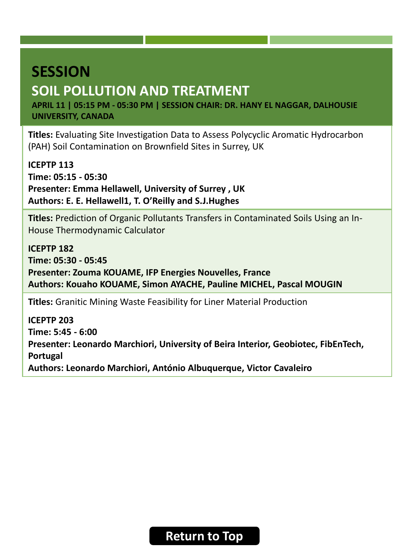# <span id="page-25-0"></span>**SESSION SOIL POLLUTION AND TREATMENT**

**APRIL 11 | 05:15 PM - 05:30 PM | SESSION CHAIR: DR. HANY EL NAGGAR, DALHOUSIE UNIVERSITY, CANADA**

**Titles:** Evaluating Site Investigation Data to Assess Polycyclic Aromatic Hydrocarbon (PAH) Soil Contamination on Brownfield Sites in Surrey, UK

**ICEPTP 113 Time: 05:15 - 05:30 Presenter: Emma Hellawell, University of Surrey , UK Authors: E. E. Hellawell1, T. O'Reilly and S.J.Hughes**

**Titles:** Prediction of Organic Pollutants Transfers in Contaminated Soils Using an In-House Thermodynamic Calculator

**ICEPTP 182 Time: 05:30 - 05:45 Presenter: Zouma KOUAME, IFP Energies Nouvelles, France Authors: Kouaho KOUAME, Simon AYACHE, Pauline MICHEL, Pascal MOUGIN**

**Titles:** Granitic Mining Waste Feasibility for Liner Material Production

**ICEPTP 203 Time: 5:45 - 6:00 Presenter: Leonardo Marchiori, University of Beira Interior, Geobiotec, FibEnTech, Portugal Authors: Leonardo Marchiori, António Albuquerque, Victor Cavaleiro**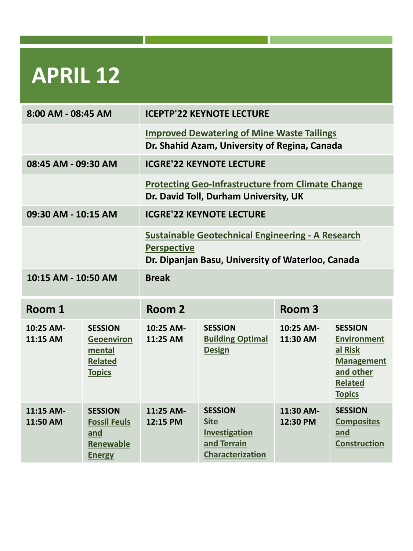<span id="page-26-0"></span>

| 8:00 AM - 08:45 AM    |                                                                                  | <b>ICEPTP'22 KEYNOTE LECTURE</b>                                                                                                    |                                                                                   |                       |                                                                                                                      |
|-----------------------|----------------------------------------------------------------------------------|-------------------------------------------------------------------------------------------------------------------------------------|-----------------------------------------------------------------------------------|-----------------------|----------------------------------------------------------------------------------------------------------------------|
|                       |                                                                                  | <b>Improved Dewatering of Mine Waste Tailings</b><br>Dr. Shahid Azam, University of Regina, Canada                                  |                                                                                   |                       |                                                                                                                      |
| 08:45 AM - 09:30 AM   |                                                                                  | <b>ICGRE'22 KEYNOTE LECTURE</b>                                                                                                     |                                                                                   |                       |                                                                                                                      |
|                       |                                                                                  | <b>Protecting Geo-Infrastructure from Climate Change</b><br>Dr. David Toll, Durham University, UK                                   |                                                                                   |                       |                                                                                                                      |
| 09:30 AM - 10:15 AM   |                                                                                  | <b>ICGRE'22 KEYNOTE LECTURE</b>                                                                                                     |                                                                                   |                       |                                                                                                                      |
|                       |                                                                                  | <b>Sustainable Geotechnical Engineering - A Research</b><br><b>Perspective</b><br>Dr. Dipanjan Basu, University of Waterloo, Canada |                                                                                   |                       |                                                                                                                      |
| 10:15 AM - 10:50 AM   |                                                                                  | <b>Break</b>                                                                                                                        |                                                                                   |                       |                                                                                                                      |
| Room 1                |                                                                                  | Room 2                                                                                                                              |                                                                                   | Room <sub>3</sub>     |                                                                                                                      |
| 10:25 AM-<br>11:15 AM | <b>SESSION</b><br><b>Geoenviron</b><br>mental<br><b>Related</b><br><b>Topics</b> | 10:25 AM-<br>11:25 AM                                                                                                               | <b>SESSION</b><br><b>Building Optimal</b><br><b>Design</b>                        | 10:25 AM-<br>11:30 AM | <b>SESSION</b><br><b>Environment</b><br>al Risk<br><b>Management</b><br>and other<br><b>Related</b><br><b>Topics</b> |
| 11:15 AM-<br>11:50 AM | <b>SESSION</b><br><b>Fossil Feuls</b><br>and<br>Renewable<br><b>Energy</b>       | 11:25 AM-<br>12:15 PM                                                                                                               | <b>SESSION</b><br><b>Site</b><br>Investigation<br>and Terrain<br>Characterization | 11:30 AM-<br>12:30 PM | <b>SESSION</b><br><b>Composites</b><br>and<br><b>Construction</b>                                                    |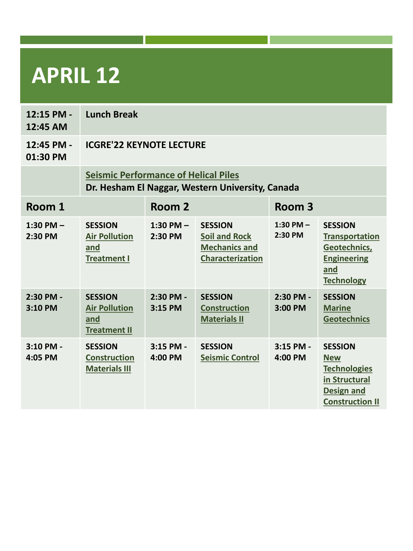| 12:15 PM -<br>12:45 AM | <b>Lunch Break</b>                                                                              |                          |                                                                                           |                        |                                                                                                                     |
|------------------------|-------------------------------------------------------------------------------------------------|--------------------------|-------------------------------------------------------------------------------------------|------------------------|---------------------------------------------------------------------------------------------------------------------|
| 12:45 PM -<br>01:30 PM | <b>ICGRE'22 KEYNOTE LECTURE</b>                                                                 |                          |                                                                                           |                        |                                                                                                                     |
|                        | <b>Seismic Performance of Helical Piles</b><br>Dr. Hesham El Naggar, Western University, Canada |                          |                                                                                           |                        |                                                                                                                     |
| Room 1                 | Room 2                                                                                          |                          |                                                                                           | Room <sub>3</sub>      |                                                                                                                     |
| 1:30 PM $-$<br>2:30 PM | <b>SESSION</b><br><b>Air Pollution</b><br>and<br><b>Treatment I</b>                             | 1:30 PM $-$<br>2:30 PM   | <b>SESSION</b><br><b>Soil and Rock</b><br><b>Mechanics and</b><br><b>Characterization</b> | 1:30 PM $-$<br>2:30 PM | <b>SESSION</b><br><b>Transportation</b><br>Geotechnics,<br><b>Engineering</b><br>and<br><b>Technology</b>           |
| 2:30 PM -<br>3:10 PM   | <b>SESSION</b><br><b>Air Pollution</b><br>and<br><b>Treatment II</b>                            | 2:30 PM -<br>3:15 PM     | <b>SESSION</b><br><b>Construction</b><br><b>Materials II</b>                              | $2:30$ PM -<br>3:00 PM | <b>SESSION</b><br><b>Marine</b><br><b>Geotechnics</b>                                                               |
| 3:10 PM -<br>4:05 PM   | <b>SESSION</b><br><b>Construction</b><br><b>Materials III</b>                                   | $3:15$ PM -<br>$4:00$ PM | <b>SESSION</b><br><b>Seismic Control</b>                                                  | $3:15$ PM -<br>4:00 PM | <b>SESSION</b><br><b>New</b><br><b>Technologies</b><br>in Structural<br><b>Design and</b><br><b>Construction II</b> |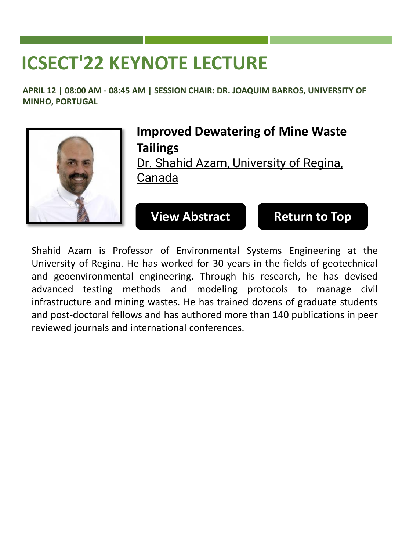<span id="page-28-0"></span>**APRIL 12 | 08:00 AM - 08:45 AM | SESSION CHAIR: DR. JOAQUIM BARROS, UNIVERSITY OF MINHO, PORTUGAL**



**Improved Dewatering of Mine Waste Tailings** Dr. Shahid Azam, University of Regina, Canada

**[View Abstract](https://lisbon2022.cseecongress.com/paper/Keynote-Dr.Azam.pdf) [Return to Top](#page-0-0)**

Shahid Azam is Professor of Environmental Systems Engineering at the University of Regina. He has worked for 30 years in the fields of geotechnical and geoenvironmental engineering. Through his research, he has devised advanced testing methods and modeling protocols to manage civil infrastructure and mining wastes. He has trained dozens of graduate students and post-doctoral fellows and has authored more than 140 publications in peer reviewed journals and international conferences.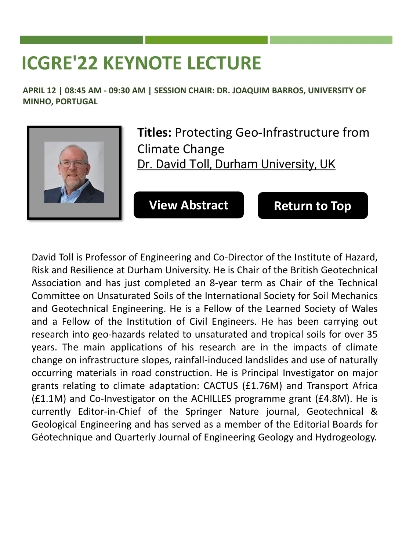# <span id="page-29-0"></span>**ICGRE'22 KEYNOTE LECTURE**

**APRIL 12 | 08:45 AM - 09:30 AM | SESSION CHAIR: DR. JOAQUIM BARROS, UNIVERSITY OF MINHO, PORTUGAL**



**Titles:** Protecting Geo-Infrastructure from Climate Change Dr. David Toll, Durham University, UK

**[View Abstract](https://lisbon2022.cseecongress.com/paper/Keynote-Dr.Toll.pdf) [Return to Top](#page-0-0)**

David Toll is Professor of Engineering and Co-Director of the Institute of Hazard, Risk and Resilience at Durham University. He is Chair of the British Geotechnical Association and has just completed an 8-year term as Chair of the Technical Committee on Unsaturated Soils of the International Society for Soil Mechanics and Geotechnical Engineering. He is a Fellow of the Learned Society of Wales and a Fellow of the Institution of Civil Engineers. He has been carrying out research into geo-hazards related to unsaturated and tropical soils for over 35 years. The main applications of his research are in the impacts of climate change on infrastructure slopes, rainfall-induced landslides and use of naturally occurring materials in road construction. He is Principal Investigator on major grants relating to climate adaptation: CACTUS (£1.76M) and Transport Africa (£1.1M) and Co-Investigator on the ACHILLES programme grant (£4.8M). He is currently Editor-in-Chief of the Springer Nature journal, Geotechnical & Geological Engineering and has served as a member of the Editorial Boards for Géotechnique and Quarterly Journal of Engineering Geology and Hydrogeology.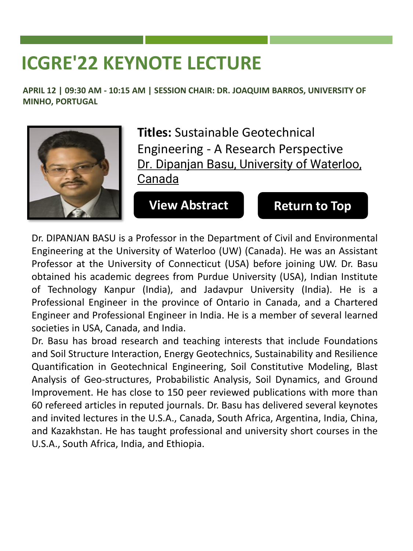# <span id="page-30-0"></span>**ICGRE'22 KEYNOTE LECTURE**

**APRIL 12 | 09:30 AM - 10:15 AM | SESSION CHAIR: DR. JOAQUIM BARROS, UNIVERSITY OF MINHO, PORTUGAL**



**Titles:** Sustainable Geotechnical Engineering - A Research Perspective Dr. Dipanjan Basu, University of Waterloo, Canada

**[View Abstract](https://lisbon2022.cseecongress.com/paper/Keynote-Dr.Basu.pdf) [Return to Top](#page-0-0)**

Dr. DIPANJAN BASU is a Professor in the Department of Civil and Environmental Engineering at the University of Waterloo (UW) (Canada). He was an Assistant Professor at the University of Connecticut (USA) before joining UW. Dr. Basu obtained his academic degrees from Purdue University (USA), Indian Institute of Technology Kanpur (India), and Jadavpur University (India). He is a Professional Engineer in the province of Ontario in Canada, and a Chartered Engineer and Professional Engineer in India. He is a member of several learned societies in USA, Canada, and India.

Dr. Basu has broad research and teaching interests that include Foundations and Soil Structure Interaction, Energy Geotechnics, Sustainability and Resilience Quantification in Geotechnical Engineering, Soil Constitutive Modeling, Blast Analysis of Geo-structures, Probabilistic Analysis, Soil Dynamics, and Ground Improvement. He has close to 150 peer reviewed publications with more than 60 refereed articles in reputed journals. Dr. Basu has delivered several keynotes and invited lectures in the U.S.A., Canada, South Africa, Argentina, India, China, and Kazakhstan. He has taught professional and university short courses in the U.S.A., South Africa, India, and Ethiopia.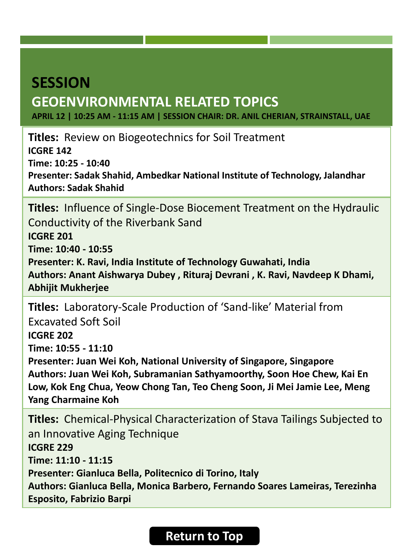# <span id="page-31-0"></span>**SESSION GEOENVIRONMENTAL RELATED TOPICS**

**APRIL 12 | 10:25 AM - 11:15 AM | SESSION CHAIR: DR. ANIL CHERIAN, STRAINSTALL, UAE**

**Titles:** Review on Biogeotechnics for Soil Treatment **ICGRE 142 Time: 10:25 - 10:40 Presenter: Sadak Shahid, Ambedkar National Institute of Technology, Jalandhar Authors: Sadak Shahid**

**Titles:** Influence of Single-Dose Biocement Treatment on the Hydraulic Conductivity of the Riverbank Sand **ICGRE 201 Time: 10:40 - 10:55 Presenter: K. Ravi, India Institute of Technology Guwahati, India Authors: Anant Aishwarya Dubey , Rituraj Devrani , K. Ravi, Navdeep K Dhami, Abhijit Mukherjee**

**Titles:** Laboratory-Scale Production of 'Sand-like' Material from Excavated Soft Soil **ICGRE 202 Time: 10:55 - 11:10 Presenter: Juan Wei Koh, National University of Singapore, Singapore Authors: Juan Wei Koh, Subramanian Sathyamoorthy, Soon Hoe Chew, Kai En Low, Kok Eng Chua, Yeow Chong Tan, Teo Cheng Soon, Ji Mei Jamie Lee, Meng Yang Charmaine Koh**

**Titles:** Chemical-Physical Characterization of Stava Tailings Subjected to an Innovative Aging Technique **ICGRE 229 Time: 11:10 - 11:15 Presenter: Gianluca Bella, Politecnico di Torino, Italy Authors: Gianluca Bella, Monica Barbero, Fernando Soares Lameiras, Terezinha Esposito, Fabrizio Barpi**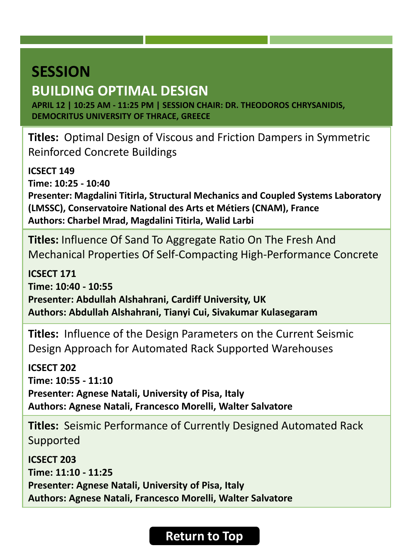### <span id="page-32-0"></span>**BUILDING OPTIMAL DESIGN**

**APRIL 12 | 10:25 AM - 11:25 PM | SESSION CHAIR: DR. THEODOROS CHRYSANIDIS, DEMOCRITUS UNIVERSITY OF THRACE, GREECE**

**Titles:** Optimal Design of Viscous and Friction Dampers in Symmetric Reinforced Concrete Buildings

**ICSECT 149 Time: 10:25 - 10:40 Presenter: Magdalini Titirla, Structural Mechanics and Coupled Systems Laboratory (LMSSC), Conservatoire National des Arts et Métiers (CNAM), France Authors: Charbel Mrad, Magdalini Titirla, Walid Larbi**

**Titles:** Influence Of Sand To Aggregate Ratio On The Fresh And Mechanical Properties Of Self-Compacting High-Performance Concrete

**ICSECT 171 Time: 10:40 - 10:55 Presenter: Abdullah Alshahrani, Cardiff University, UK Authors: Abdullah Alshahrani, Tianyi Cui, Sivakumar Kulasegaram**

**Titles:** Influence of the Design Parameters on the Current Seismic Design Approach for Automated Rack Supported Warehouses

**ICSECT 202 Time: 10:55 - 11:10 Presenter: Agnese Natali, University of Pisa, Italy Authors: Agnese Natali, Francesco Morelli, Walter Salvatore**

**Titles:** Seismic Performance of Currently Designed Automated Rack Supported

**ICSECT 203 Time: 11:10 - 11:25 Presenter: Agnese Natali, University of Pisa, Italy Authors: Agnese Natali, Francesco Morelli, Walter Salvatore**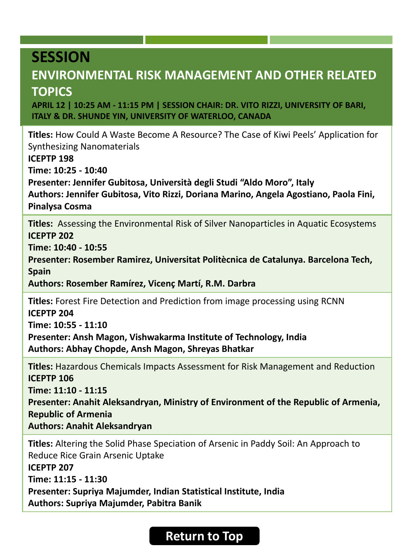#### <span id="page-33-0"></span>**ENVIRONMENTAL RISK MANAGEMENT AND OTHER RELATED TOPICS**

**APRIL 12 | 10:25 AM - 11:15 PM | SESSION CHAIR: DR. VITO RIZZI, UNIVERSITY OF BARI, ITALY & DR. SHUNDE YIN, UNIVERSITY OF WATERLOO, CANADA** 

**Titles:** How Could A Waste Become A Resource? The Case of Kiwi Peels' Application for Synthesizing Nanomaterials **ICEPTP 198 Time: 10:25 - 10:40**

**Presenter: Jennifer Gubitosa, Università degli Studi "Aldo Moro", Italy Authors: Jennifer Gubitosa, Vito Rizzi, Doriana Marino, Angela Agostiano, Paola Fini,** 

**Pinalysa Cosma**

**Titles:** Assessing the Environmental Risk of Silver Nanoparticles in Aquatic Ecosystems **ICEPTP 202**

**Time: 10:40 - 10:55**

**Presenter: Rosember Ramirez, Universitat Politècnica de Catalunya. Barcelona Tech, Spain**

**Authors: Rosember Ramírez, Vicenç Martí, R.M. Darbra**

**Titles:** Forest Fire Detection and Prediction from image processing using RCNN **ICEPTP 204 Time: 10:55 - 11:10**

**Presenter: Ansh Magon, Vishwakarma Institute of Technology, India Authors: Abhay Chopde, Ansh Magon, Shreyas Bhatkar**

**Titles:** Hazardous Chemicals Impacts Assessment for Risk Management and Reduction **ICEPTP 106 Time: 11:10 - 11:15 Presenter: Anahit Aleksandryan, Ministry of Environment of the Republic of Armenia, Republic of Armenia Authors: Anahit Aleksandryan**

**Titles:** Altering the Solid Phase Speciation of Arsenic in Paddy Soil: An Approach to Reduce Rice Grain Arsenic Uptake **ICEPTP 207 Time: 11:15 - 11:30 Presenter: Supriya Majumder, Indian Statistical Institute, India Authors: Supriya Majumder, Pabitra Banik**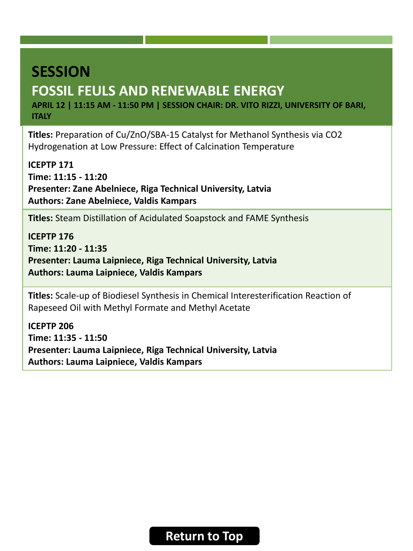# <span id="page-34-0"></span>**SESSION FOSSIL FEULS AND RENEWABLE ENERGY**

**APRIL 12 | 11:15 AM - 11:50 PM | SESSION CHAIR: DR. VITO RIZZI, UNIVERSITY OF BARI, ITALY**

**Titles:** Preparation of Cu/ZnO/SBA-15 Catalyst for Methanol Synthesis via CO2 Hydrogenation at Low Pressure: Effect of Calcination Temperature

**ICEPTP 171 Time: 11:15 - 11:20 Presenter: Zane Abelniece, Riga Technical University, Latvia Authors: Zane Abelniece, Valdis Kampars**

**Titles:** Steam Distillation of Acidulated Soapstock and FAME Synthesis

**ICEPTP 176 Time: 11:20 - 11:35 Presenter: Lauma Laipniece, Riga Technical University, Latvia Authors: Lauma Laipniece, Valdis Kampars**

**Titles:** Scale-up of Biodiesel Synthesis in Chemical Interesterification Reaction of Rapeseed Oil with Methyl Formate and Methyl Acetate

**ICEPTP 206 Time: 11:35 - 11:50 Presenter: Lauma Laipniece, Riga Technical University, Latvia Authors: Lauma Laipniece, Valdis Kampars**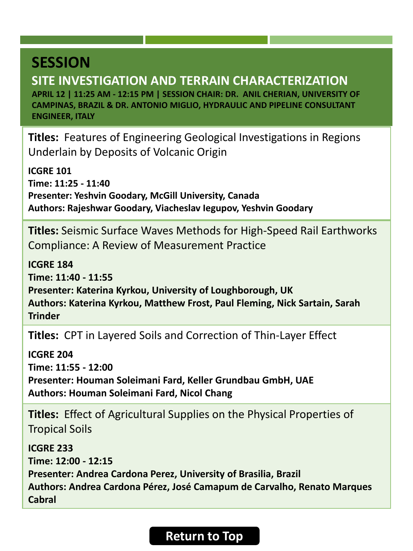<span id="page-35-0"></span>**SITE INVESTIGATION AND TERRAIN CHARACTERIZATION APRIL 12 | 11:25 AM - 12:15 PM | SESSION CHAIR: DR. ANIL CHERIAN, UNIVERSITY OF CAMPINAS, BRAZIL & DR. ANTONIO MIGLIO, HYDRAULIC AND PIPELINE CONSULTANT ENGINEER, ITALY** 

**Titles:** Features of Engineering Geological Investigations in Regions Underlain by Deposits of Volcanic Origin

**ICGRE 101 Time: 11:25 - 11:40 Presenter: Yeshvin Goodary, McGill University, Canada Authors: Rajeshwar Goodary, Viacheslav Iegupov, Yeshvin Goodary**

**Titles:** Seismic Surface Waves Methods for High-Speed Rail Earthworks Compliance: A Review of Measurement Practice

**ICGRE 184 Time: 11:40 - 11:55 Presenter: Katerina Kyrkou, University of Loughborough, UK Authors: Katerina Kyrkou, Matthew Frost, Paul Fleming, Nick Sartain, Sarah Trinder**

**Titles:** CPT in Layered Soils and Correction of Thin-Layer Effect

**ICGRE 204 Time: 11:55 - 12:00 Presenter: Houman Soleimani Fard, Keller Grundbau GmbH, UAE Authors: Houman Soleimani Fard, Nicol Chang**

**Titles:** Effect of Agricultural Supplies on the Physical Properties of Tropical Soils

**ICGRE 233 Time: 12:00 - 12:15 Presenter: Andrea Cardona Perez, University of Brasilia, Brazil Authors: Andrea Cardona Pérez, José Camapum de Carvalho, Renato Marques Cabral**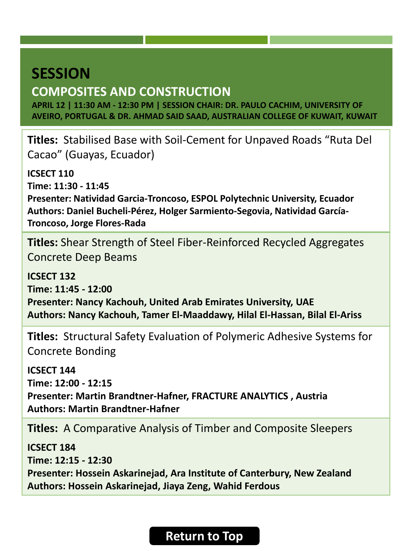## <span id="page-36-0"></span>**SESSION COMPOSITES AND CONSTRUCTION**

**APRIL 12 | 11:30 AM - 12:30 PM | SESSION CHAIR: DR. PAULO CACHIM, UNIVERSITY OF AVEIRO, PORTUGAL & DR. AHMAD SAID SAAD, AUSTRALIAN COLLEGE OF KUWAIT, KUWAIT**

**Titles:** Stabilised Base with Soil-Cement for Unpaved Roads "Ruta Del Cacao" (Guayas, Ecuador)

**ICSECT 110 Time: 11:30 - 11:45 Presenter: Natividad Garcia-Troncoso, ESPOL Polytechnic University, Ecuador Authors: Daniel Bucheli-Pérez, Holger Sarmiento-Segovia, Natividad García-Troncoso, Jorge Flores-Rada**

**Titles:** Shear Strength of Steel Fiber-Reinforced Recycled Aggregates Concrete Deep Beams

**ICSECT 132 Time: 11:45 - 12:00 Presenter: Nancy Kachouh, United Arab Emirates University, UAE Authors: Nancy Kachouh, Tamer El-Maaddawy, Hilal El-Hassan, Bilal El-Ariss**

**Titles:** Structural Safety Evaluation of Polymeric Adhesive Systems for Concrete Bonding

**ICSECT 144**

**Time: 12:00 - 12:15 Presenter: Martin Brandtner-Hafner, FRACTURE ANALYTICS , Austria Authors: Martin Brandtner-Hafner**

**Titles:** A Comparative Analysis of Timber and Composite Sleepers

**ICSECT 184 Time: 12:15 - 12:30 Presenter: Hossein Askarinejad, Ara Institute of Canterbury, New Zealand Authors: Hossein Askarinejad, Jiaya Zeng, Wahid Ferdous**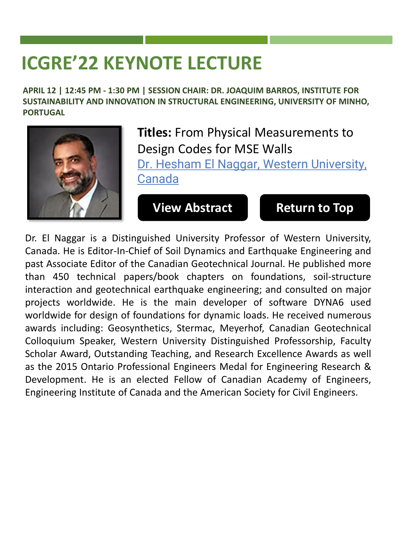# <span id="page-37-0"></span>**ICGRE'22 KEYNOTE LECTURE**

**APRIL 12 | 12:45 PM - 1:30 PM | SESSION CHAIR: DR. JOAQUIM BARROS, INSTITUTE FOR SUSTAINABILITY AND INNOVATION IN STRUCTURAL ENGINEERING, UNIVERSITY OF MINHO, PORTUGAL**



**Titles:** From Physical Measurements to Design Codes for MSE Walls Dr. Hesham El Naggar, Western University, Canada

**[View Abstract](https://lisbon2022.cseecongress.com/paper/Keynote-ElNaggar.pdf) [Return to Top](#page-0-0)** 

Dr. El Naggar is a Distinguished University Professor of Western University, Canada. He is Editor-In-Chief of Soil Dynamics and Earthquake Engineering and past Associate Editor of the Canadian Geotechnical Journal. He published more than 450 technical papers/book chapters on foundations, soil-structure interaction and geotechnical earthquake engineering; and consulted on major projects worldwide. He is the main developer of software DYNA6 used worldwide for design of foundations for dynamic loads. He received numerous awards including: Geosynthetics, Stermac, Meyerhof, Canadian Geotechnical Colloquium Speaker, Western University Distinguished Professorship, Faculty Scholar Award, Outstanding Teaching, and Research Excellence Awards as well as the 2015 Ontario Professional Engineers Medal for Engineering Research & Development. He is an elected Fellow of Canadian Academy of Engineers, Engineering Institute of Canada and the American Society for Civil Engineers.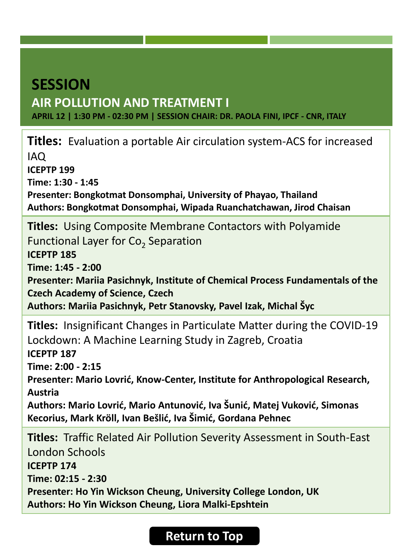### <span id="page-38-0"></span>**SESSION AIR POLLUTION AND TREATMENT I APRIL 12 | 1:30 PM - 02:30 PM | SESSION CHAIR: DR. PAOLA FINI, IPCF - CNR, ITALY**

**Titles:** Evaluation a portable Air circulation system-ACS for increased IAQ **ICEPTP 199 Time: 1:30 - 1:45 Presenter: Bongkotmat Donsomphai, University of Phayao, Thailand Authors: Bongkotmat Donsomphai, Wipada Ruanchatchawan, Jirod Chaisan Titles:** Using Composite Membrane Contactors with Polyamide Functional Layer for  $Co<sub>2</sub>$  Separation **ICEPTP 185 Time: 1:45 - 2:00 Presenter: Mariia Pasichnyk, Institute of Chemical Process Fundamentals of the Czech Academy of Science, Czech Authors: Mariia Pasichnyk, Petr Stanovsky, Pavel Izak, Michal Šyc Titles:** Insignificant Changes in Particulate Matter during the COVID-19 Lockdown: A Machine Learning Study in Zagreb, Croatia **ICEPTP 187 Time: 2:00 - 2:15 Presenter: Mario Lovrić, Know-Center, Institute for Anthropological Research, Austria Authors: Mario Lovrić, Mario Antunović, Iva Šunić, Matej Vuković, Simonas Kecorius, Mark Kröll, Ivan Bešlić, Iva Šimić, Gordana Pehnec Titles:** Traffic Related Air Pollution Severity Assessment in South-East London Schools **ICEPTP 174 Time: 02:15 - 2:30 Presenter: Ho Yin Wickson Cheung, University College London, UK Authors: Ho Yin Wickson Cheung, Liora Malki-Epshtein**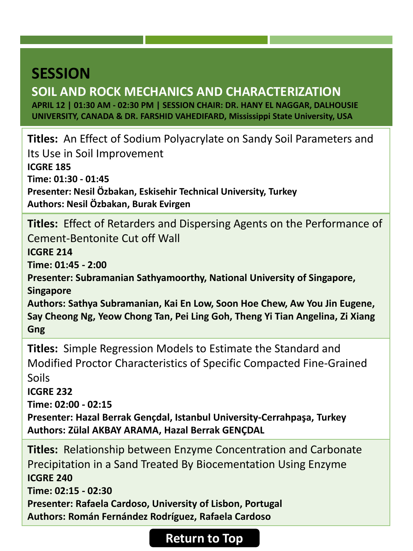### <span id="page-39-0"></span>**SOIL AND ROCK MECHANICS AND CHARACTERIZATION**

**APRIL 12 | 01:30 AM - 02:30 PM | SESSION CHAIR: DR. HANY EL NAGGAR, DALHOUSIE UNIVERSITY, CANADA & DR. FARSHID VAHEDIFARD, Mississippi State University, USA**

**Titles:** An Effect of Sodium Polyacrylate on Sandy Soil Parameters and Its Use in Soil Improvement **ICGRE 185 Time: 01:30 - 01:45 Presenter: Nesil Özbakan, Eskisehir Technical University, Turkey Authors: Nesil Özbakan, Burak Evirgen**

**Titles:** Effect of Retarders and Dispersing Agents on the Performance of Cement-Bentonite Cut off Wall **ICGRE 214 Time: 01:45 - 2:00**

**Presenter: Subramanian Sathyamoorthy, National University of Singapore, Singapore**

**Authors: Sathya Subramanian, Kai En Low, Soon Hoe Chew, Aw You Jin Eugene, Say Cheong Ng, Yeow Chong Tan, Pei Ling Goh, Theng Yi Tian Angelina, Zi Xiang Gng**

**Titles:** Simple Regression Models to Estimate the Standard and Modified Proctor Characteristics of Specific Compacted Fine-Grained Soils

**ICGRE 232**

**Time: 02:00 - 02:15**

**Presenter: Hazal Berrak Gençdal, Istanbul University-Cerrahpaşa, Turkey Authors: Zülal AKBAY ARAMA, Hazal Berrak GENÇDAL**

**Titles:** Relationship between Enzyme Concentration and Carbonate Precipitation in a Sand Treated By Biocementation Using Enzyme **ICGRE 240 Time: 02:15 - 02:30 Presenter: Rafaela Cardoso, University of Lisbon, Portugal Authors: Román Fernández Rodríguez, Rafaela Cardoso**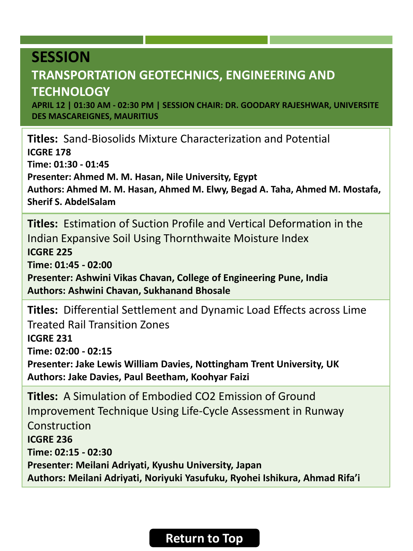### <span id="page-40-0"></span>**TRANSPORTATION GEOTECHNICS, ENGINEERING AND TECHNOLOGY**

**APRIL 12 | 01:30 AM - 02:30 PM | SESSION CHAIR: DR. GOODARY RAJESHWAR, UNIVERSITE DES MASCAREIGNES, MAURITIUS**

**Titles:** Sand-Biosolids Mixture Characterization and Potential **ICGRE 178 Time: 01:30 - 01:45 Presenter: Ahmed M. M. Hasan, Nile University, Egypt Authors: Ahmed M. M. Hasan, Ahmed M. Elwy, Begad A. Taha, Ahmed M. Mostafa, Sherif S. AbdelSalam**

**Titles:** Estimation of Suction Profile and Vertical Deformation in the Indian Expansive Soil Using Thornthwaite Moisture Index **ICGRE 225 Time: 01:45 - 02:00 Presenter: Ashwini Vikas Chavan, College of Engineering Pune, India Authors: Ashwini Chavan, Sukhanand Bhosale**

**Titles:** Differential Settlement and Dynamic Load Effects across Lime Treated Rail Transition Zones **ICGRE 231 Time: 02:00 - 02:15 Presenter: Jake Lewis William Davies, Nottingham Trent University, UK**

**Authors: Jake Davies, Paul Beetham, Koohyar Faizi**

**Titles:** A Simulation of Embodied CO2 Emission of Ground Improvement Technique Using Life-Cycle Assessment in Runway Construction **ICGRE 236 Time: 02:15 - 02:30 Presenter: Meilani Adriyati, Kyushu University, Japan Authors: Meilani Adriyati, Noriyuki Yasufuku, Ryohei Ishikura, Ahmad Rifa'i**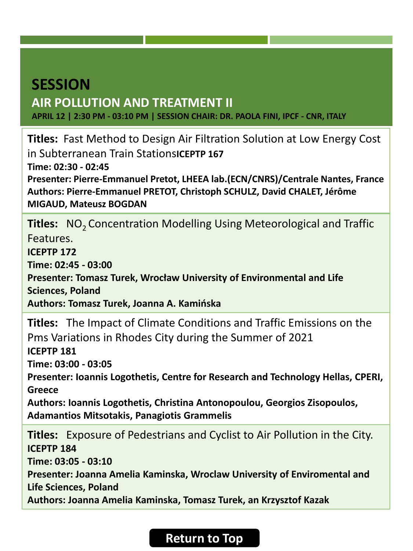### <span id="page-41-0"></span>**SESSION AIR POLLUTION AND TREATMENT II APRIL 12 | 2:30 PM - 03:10 PM | SESSION CHAIR: DR. PAOLA FINI, IPCF - CNR, ITALY**

**Titles:** Fast Method to Design Air Filtration Solution at Low Energy Cost in Subterranean Train Stations**ICEPTP 167 Time: 02:30 - 02:45 Presenter: Pierre-Emmanuel Pretot, LHEEA lab.(ECN/CNRS)/Centrale Nantes, France Authors: Pierre-Emmanuel PRETOT, Christoph SCHULZ, David CHALET, Jérôme MIGAUD, Mateusz BOGDAN**

**Titles:** NO<sub>2</sub> Concentration Modelling Using Meteorological and Traffic Features.

**ICEPTP 172**

**Time: 02:45 - 03:00**

**Presenter: Tomasz Turek, Wrocław University of Environmental and Life Sciences, Poland**

**Authors: Tomasz Turek, Joanna A. Kamińska**

**Titles:** The Impact of Climate Conditions and Traffic Emissions on the Pms Variations in Rhodes City during the Summer of 2021 **ICEPTP 181 Time: 03:00 - 03:05 Presenter: Ioannis Logothetis, Centre for Research and Technology Hellas, CPERI, Greece Authors: Ioannis Logothetis, Christina Antonopoulou, Georgios Zisopoulos, Adamantios Mitsotakis, Panagiotis Grammelis**

**Titles:** Exposure of Pedestrians and Cyclist to Air Pollution in the City. **ICEPTP 184 Time: 03:05 - 03:10 Presenter: Joanna Amelia Kaminska, Wroclaw University of Enviromental and Life Sciences, Poland Authors: Joanna Amelia Kaminska, Tomasz Turek, an Krzysztof Kazak**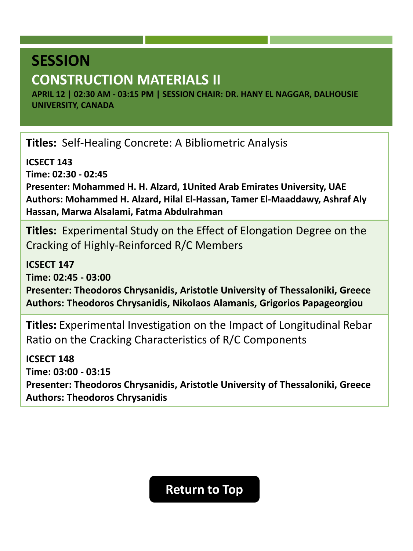# <span id="page-42-0"></span>**SESSION CONSTRUCTION MATERIALS II**

**APRIL 12 | 02:30 AM - 03:15 PM | SESSION CHAIR: DR. HANY EL NAGGAR, DALHOUSIE UNIVERSITY, CANADA**

**Titles:** Self-Healing Concrete: A Bibliometric Analysis

**ICSECT 143**

**Time: 02:30 - 02:45**

**Presenter: Mohammed H. H. Alzard, 1United Arab Emirates University, UAE Authors: Mohammed H. Alzard, Hilal El-Hassan, Tamer El-Maaddawy, Ashraf Aly Hassan, Marwa Alsalami, Fatma Abdulrahman**

**Titles:** Experimental Study on the Effect of Elongation Degree on the Cracking of Highly-Reinforced R/C Members

**ICSECT 147 Time: 02:45 - 03:00 Presenter: Theodoros Chrysanidis, Aristotle University of Thessaloniki, Greece Authors: Theodoros Chrysanidis, Nikolaos Alamanis, Grigorios Papageorgiou**

**Titles:** Experimental Investigation on the Impact of Longitudinal Rebar Ratio on the Cracking Characteristics of R/C Components

**ICSECT 148 Time: 03:00 - 03:15 Presenter: Theodoros Chrysanidis, Aristotle University of Thessaloniki, Greece Authors: Theodoros Chrysanidis**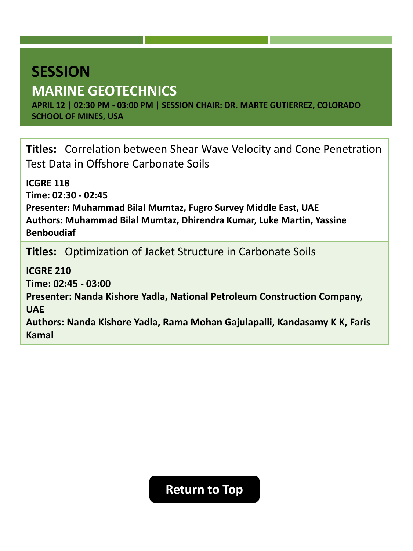# <span id="page-43-0"></span>**SESSION MARINE GEOTECHNICS**

**APRIL 12 | 02:30 PM - 03:00 PM | SESSION CHAIR: DR. MARTE GUTIERREZ, COLORADO SCHOOL OF MINES, USA**

**Titles:** Correlation between Shear Wave Velocity and Cone Penetration Test Data in Offshore Carbonate Soils

**ICGRE 118 Time: 02:30 - 02:45 Presenter: Muhammad Bilal Mumtaz, Fugro Survey Middle East, UAE Authors: Muhammad Bilal Mumtaz, Dhirendra Kumar, Luke Martin, Yassine Benboudiaf**

**Titles:** Optimization of Jacket Structure in Carbonate Soils

**ICGRE 210 Time: 02:45 - 03:00 Presenter: Nanda Kishore Yadla, National Petroleum Construction Company, UAE Authors: Nanda Kishore Yadla, Rama Mohan Gajulapalli, Kandasamy K K, Faris Kamal**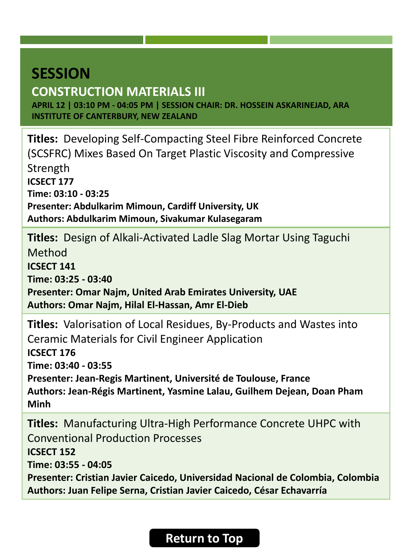# <span id="page-44-0"></span>**SESSION CONSTRUCTION MATERIALS III**

**APRIL 12 | 03:10 PM - 04:05 PM | SESSION CHAIR: DR. HOSSEIN ASKARINEJAD, ARA INSTITUTE OF CANTERBURY, NEW ZEALAND**

**Titles:** Developing Self-Compacting Steel Fibre Reinforced Concrete (SCSFRC) Mixes Based On Target Plastic Viscosity and Compressive Strength **ICSECT 177 Time: 03:10 - 03:25 Presenter: Abdulkarim Mimoun, Cardiff University, UK Authors: Abdulkarim Mimoun, Sivakumar Kulasegaram**

**Titles:** Design of Alkali-Activated Ladle Slag Mortar Using Taguchi

Method

**ICSECT 141**

**Time: 03:25 - 03:40**

**Presenter: Omar Najm, United Arab Emirates University, UAE Authors: Omar Najm, Hilal El-Hassan, Amr El-Dieb**

**Titles:** Valorisation of Local Residues, By-Products and Wastes into Ceramic Materials for Civil Engineer Application **ICSECT 176 Time: 03:40 - 03:55 Presenter: Jean-Regis Martinent, Université de Toulouse, France Authors: Jean-Régis Martinent, Yasmine Lalau, Guilhem Dejean, Doan Pham Minh**

**Titles:** Manufacturing Ultra-High Performance Concrete UHPC with Conventional Production Processes **ICSECT 152 Time: 03:55 - 04:05 Presenter: Cristian Javier Caicedo, Universidad Nacional de Colombia, Colombia Authors: Juan Felipe Serna, Cristian Javier Caicedo, César Echavarría**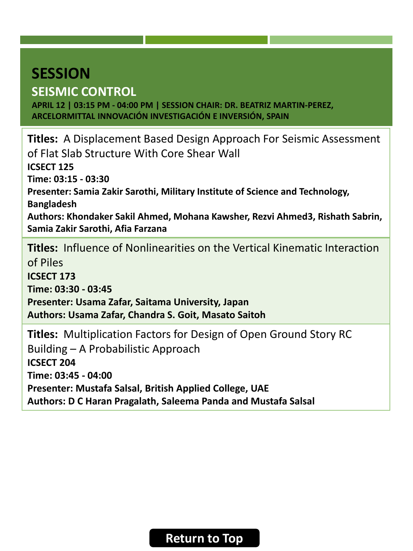# <span id="page-45-0"></span>**SESSION SEISMIC CONTROL**

**APRIL 12 | 03:15 PM - 04:00 PM | SESSION CHAIR: DR. BEATRIZ MARTIN-PEREZ, ARCELORMITTAL INNOVACIÓN INVESTIGACIÓN E INVERSIÓN, SPAIN**

**Titles:** A Displacement Based Design Approach For Seismic Assessment of Flat Slab Structure With Core Shear Wall **ICSECT 125 Time: 03:15 - 03:30 Presenter: Samia Zakir Sarothi, Military Institute of Science and Technology, Bangladesh Authors: Khondaker Sakil Ahmed, Mohana Kawsher, Rezvi Ahmed3, Rishath Sabrin, Samia Zakir Sarothi, Afia Farzana Titles:** Influence of Nonlinearities on the Vertical Kinematic Interaction of Piles **ICSECT 173 Time: 03:30 - 03:45 Presenter: Usama Zafar, Saitama University, Japan**

**Authors: Usama Zafar, Chandra S. Goit, Masato Saitoh**

**Titles:** Multiplication Factors for Design of Open Ground Story RC Building – A Probabilistic Approach **ICSECT 204 Time: 03:45 - 04:00 Presenter: Mustafa Salsal, British Applied College, UAE Authors: D C Haran Pragalath, Saleema Panda and Mustafa Salsal**